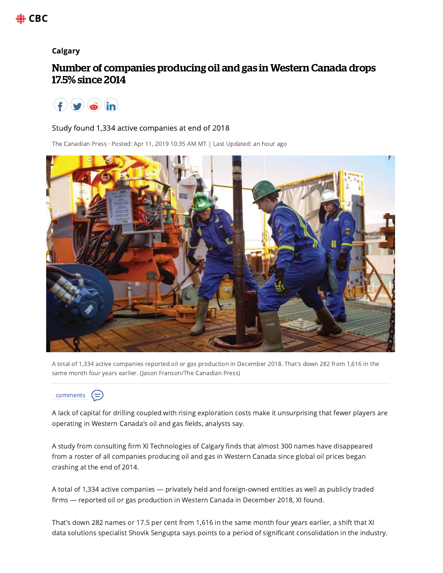

## **Calgary**

## Number of companies producing oil and gas in Western Canada drops 17.5% since 2014



## Study found 1,334 active companies at end of 2018

The Canadian Press · Posted: Apr 11, 2019 10:35 AM MT | Last Updated: an hour ago



A total of 1,334 active companies reported oil or gas production in December 2018. That's down 282 from 1,616 in the same month four years earlier. (Jason Franson/The Canadian Press)



A lack of capital for drilling coupled with rising exploration costs make it unsurprising that fewer players are operating in Western Canada's oil and gas fields, analysts say.

A study from consulting firm XI Technologies of Calgary finds that almost 300 names have disappeared from a roster of all companies producing oil and gas in Western Canada since global oil prices began crashing at the end of 2014.

A total of 1,334 active companies - privately held and foreign-owned entities as well as publicly traded firms - reported oil or gas production in Western Canada in December 2018, XI found.

That's down 282 names or 17.5 per cent from 1,616 in the same month four years earlier, a shift that XI data solutions specialist Shovik Sengupta says points to a period of significant consolidation in the industry.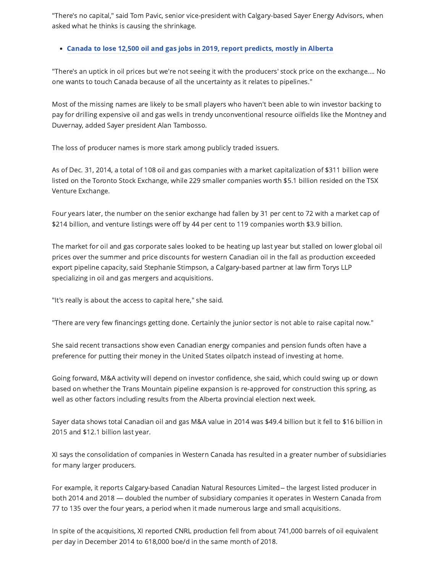"There's no capital," said Tom Pavic, senior vice-president with Calgary-based Sayer Energy Advisors, when asked what he thinks is causing the shrinkage.

## • Canada to lose 12,500 oil and gas jobs in 2019, report predicts, mostly in Alberta

"There's an uptick in oil prices but we're not seeing it with the producers' stock price on the exchange.... No one wants to touch Canada because of all the uncertainty as it relates to pipelines."

Most of the missing names are likely to be small players who haven't been able to win investor backing to pay for drilling expensive oil and gas wells in trendy unconventional resource oilfields like the Montney and Duvernay, added Sayer president Alan Tambosso.

The loss of producer names is more stark among publicly traded issuers.

As of Dec. 31, 2014, a total of 108 oil and gas companies with a market capitalization of \$311 billion were listed on the Toronto Stock Exchange, while 229 smaller companies worth \$5.1 billion resided on the TSX Venture Exchange.

Four years later, the number on the senior exchange had fallen by 31 per cent to 72 with a market cap of \$214 billion, and venture listings were off by 44 per cent to 119 companies worth \$3.9 billion.

The market for oil and gas corporate sales looked to be heating up last year but stalled on lower global oil prices over the summer and price discounts for western Canadian oil in the fall as production exceeded export pipeline capacity, said Stephanie Stimpson, a Calgary-based partner at law firm Torys LLP specializing in oil and gas mergers and acquisitions.

"It's really is about the access to capital here," she said.

"There are very few financings getting done. Certainly the junior sector is not able to raise capital now."

She said recent transactions show even Canadian energy companies and pension funds often have a preference for putting their money in the United States oilpatch instead of investing at home.

Going forward, M&A activity will depend on investor confidence, she said, which could swing up or down based on whether the Trans Mountain pipeline expansion is re-approved for construction this spring, as well as other factors including results from the Alberta provincial election next week.

Sayer data shows total Canadian oil and gas M&A value in 2014 was \$49.4 billion but it fell to \$16 billion in 2015 and \$12.1 billion last year.

XI says the consolidation of companies in Western Canada has resulted in a greater number of subsidiaries for many larger producers.

For example, it reports Calgary-based Canadian Natural Resources Limited - the largest listed producer in both 2014 and 2018 - doubled the number of subsidiary companies it operates in Western Canada from 77 to 135 over the four years, a period when it made numerous large and small acquisitions.

In spite of the acquisitions, XI reported CNRL production fell from about 741,000 barrels of oil equivalent per day in December 2014 to 618,000 boe/d in the same month of 2018.